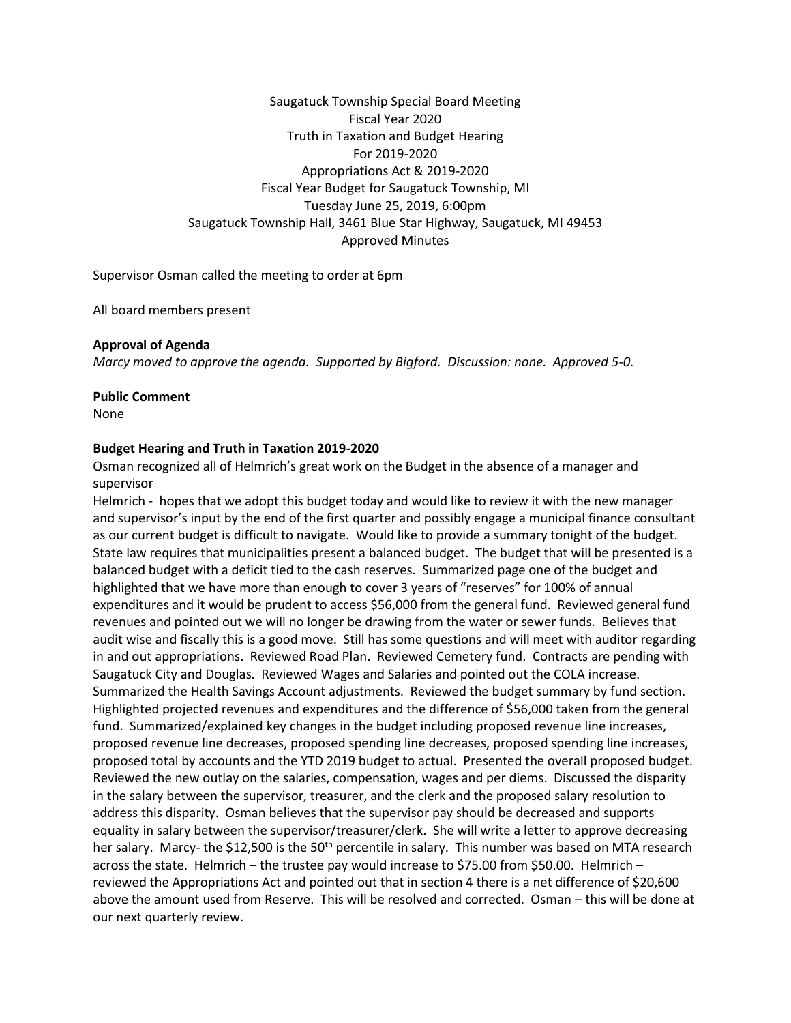Saugatuck Township Special Board Meeting Fiscal Year 2020 Truth in Taxation and Budget Hearing For 2019-2020 Appropriations Act & 2019-2020 Fiscal Year Budget for Saugatuck Township, MI Tuesday June 25, 2019, 6:00pm Saugatuck Township Hall, 3461 Blue Star Highway, Saugatuck, MI 49453 Approved Minutes

Supervisor Osman called the meeting to order at 6pm

All board members present

# **Approval of Agenda**

*Marcy moved to approve the agenda. Supported by Bigford. Discussion: none. Approved 5-0.*

### **Public Comment**

None

### **Budget Hearing and Truth in Taxation 2019-2020**

Osman recognized all of Helmrich's great work on the Budget in the absence of a manager and supervisor

Helmrich - hopes that we adopt this budget today and would like to review it with the new manager and supervisor's input by the end of the first quarter and possibly engage a municipal finance consultant as our current budget is difficult to navigate. Would like to provide a summary tonight of the budget. State law requires that municipalities present a balanced budget. The budget that will be presented is a balanced budget with a deficit tied to the cash reserves. Summarized page one of the budget and highlighted that we have more than enough to cover 3 years of "reserves" for 100% of annual expenditures and it would be prudent to access \$56,000 from the general fund. Reviewed general fund revenues and pointed out we will no longer be drawing from the water or sewer funds. Believes that audit wise and fiscally this is a good move. Still has some questions and will meet with auditor regarding in and out appropriations. Reviewed Road Plan. Reviewed Cemetery fund. Contracts are pending with Saugatuck City and Douglas. Reviewed Wages and Salaries and pointed out the COLA increase. Summarized the Health Savings Account adjustments. Reviewed the budget summary by fund section. Highlighted projected revenues and expenditures and the difference of \$56,000 taken from the general fund. Summarized/explained key changes in the budget including proposed revenue line increases, proposed revenue line decreases, proposed spending line decreases, proposed spending line increases, proposed total by accounts and the YTD 2019 budget to actual. Presented the overall proposed budget. Reviewed the new outlay on the salaries, compensation, wages and per diems. Discussed the disparity in the salary between the supervisor, treasurer, and the clerk and the proposed salary resolution to address this disparity. Osman believes that the supervisor pay should be decreased and supports equality in salary between the supervisor/treasurer/clerk. She will write a letter to approve decreasing her salary. Marcy- the \$12,500 is the 50<sup>th</sup> percentile in salary. This number was based on MTA research across the state. Helmrich – the trustee pay would increase to \$75.00 from \$50.00. Helmrich – reviewed the Appropriations Act and pointed out that in section 4 there is a net difference of \$20,600 above the amount used from Reserve. This will be resolved and corrected. Osman – this will be done at our next quarterly review.